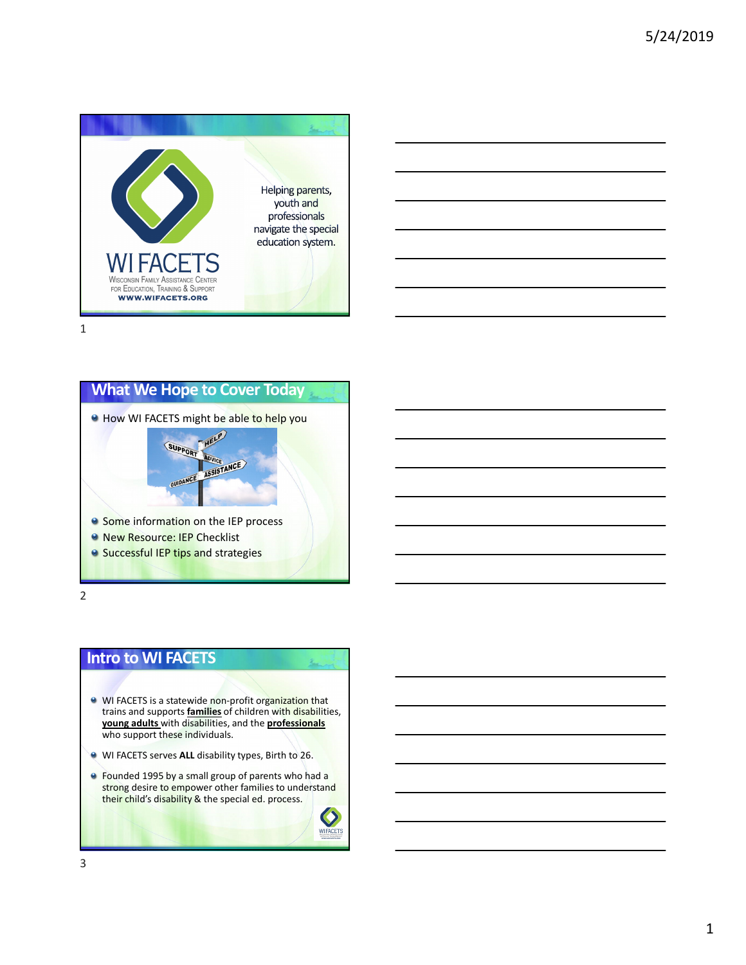





2

### **Intro to WI FACETS**

- **WI FACETS is a statewide non-profit organization that** trains and supports **families** of children with disabilities, **young adults** with disabilities, and the **professionals** who support these individuals.
- WI FACETS serves **ALL** disability types, Birth to 26.
- **e** Founded 1995 by a small group of parents who had a strong desire to empower other families to understand their child's disability & the special ed. process.

 $\bullet$ **WIFACETS**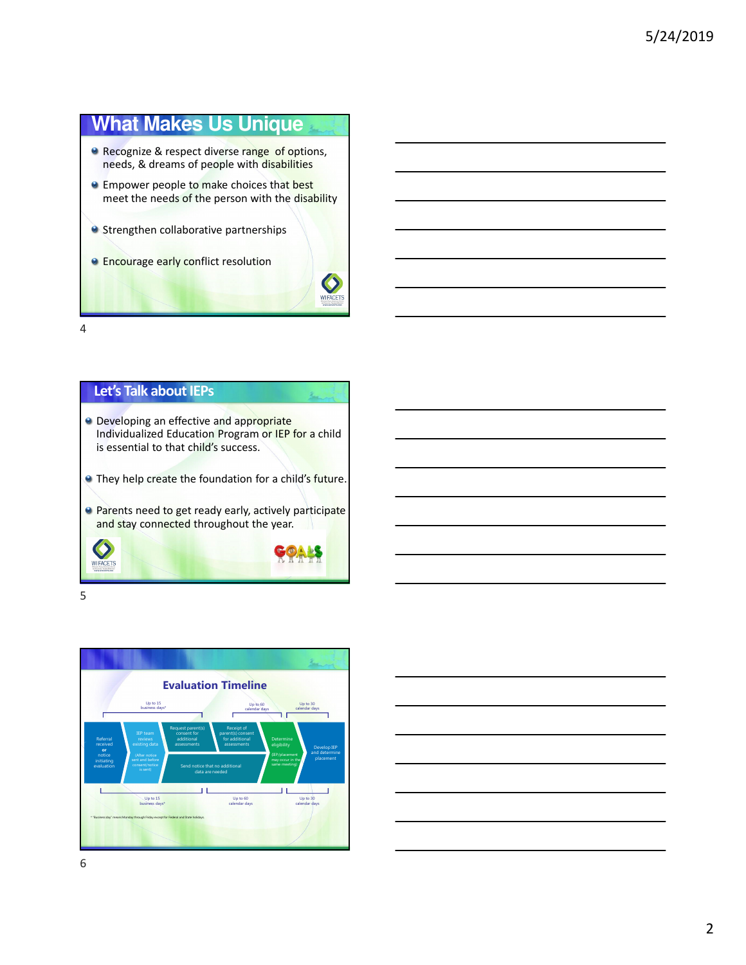# **What Makes Us Unique**

- **Recognize & respect diverse range of options,** needs, & dreams of people with disabilities
- **Empower people to make choices that best** meet the needs of the person with the disability
- **Strengthen collaborative partnerships**
- **Encourage early conflict resolution**



4



5



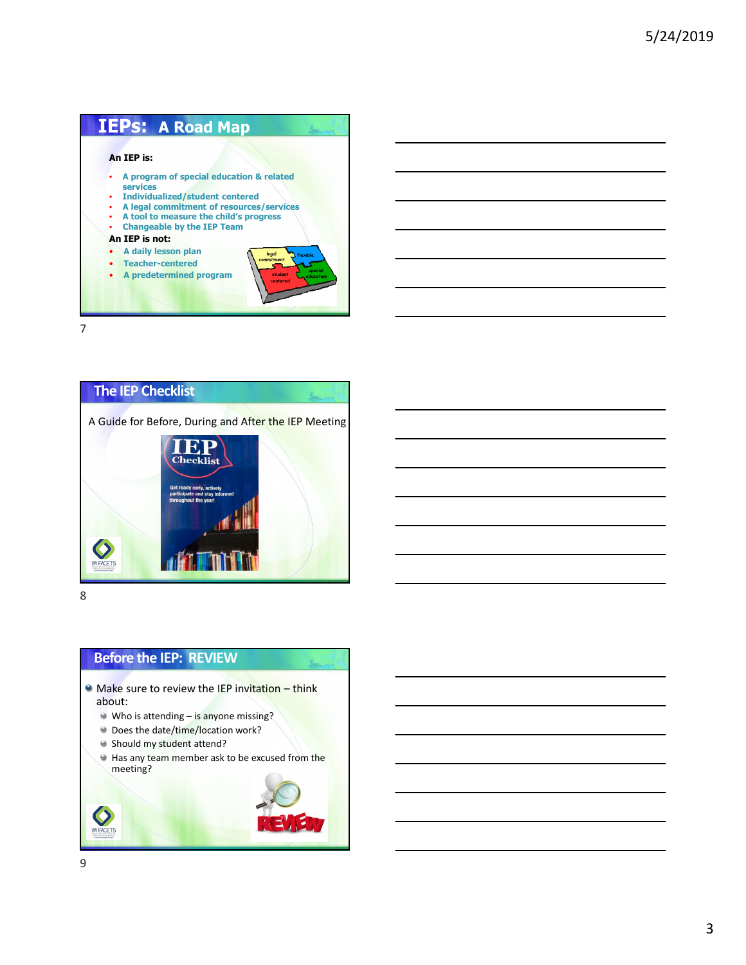



8

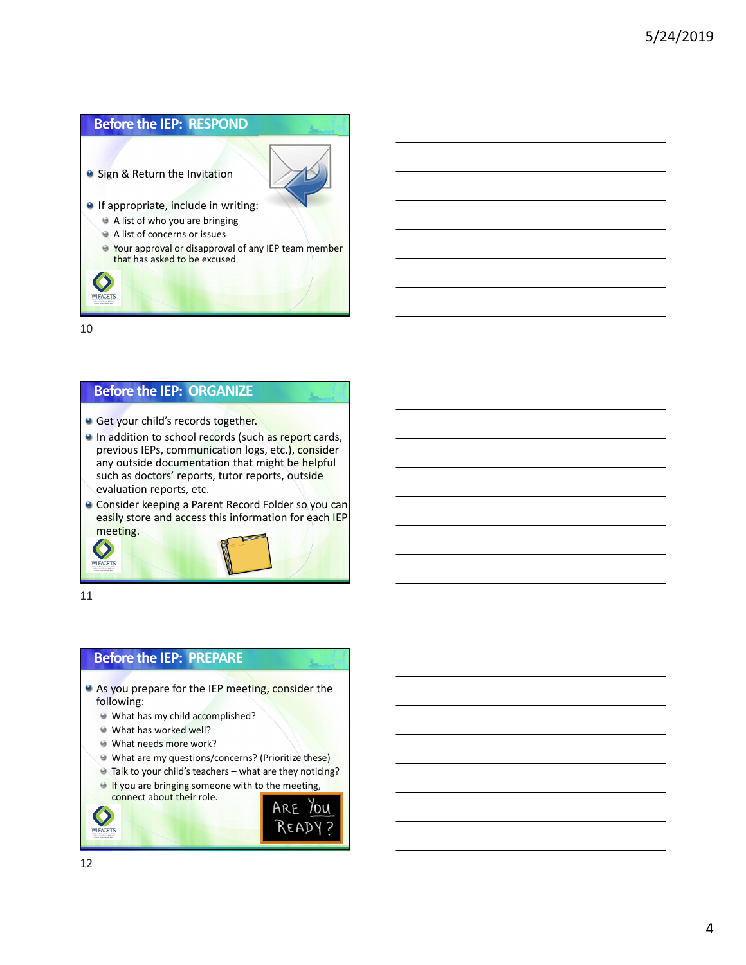

### **Before the IEP: ORGANIZE**

- **Get your child's records together.**
- In addition to school records (such as report cards, previous IEPs, communication logs, etc.), consider any outside documentation that might be helpful such as doctors' reports, tutor reports, outside evaluation reports, etc.
- Consider keeping a Parent Record Folder so you can easily store and access this information for each IEP meeting.

11

 $\bullet$ **WIFACETS** 

### **Before the IEP: PREPARE**

- As you prepare for the IEP meeting, consider the following:
	- What has my child accomplished?
	- What has worked well?
	- What needs more work?
	- What are my questions/concerns? (Prioritize these)
	- Talk to your child's teachers what are they noticing?
	- **If you are bringing someone with to the meeting,** connect about their role.



WIFACETS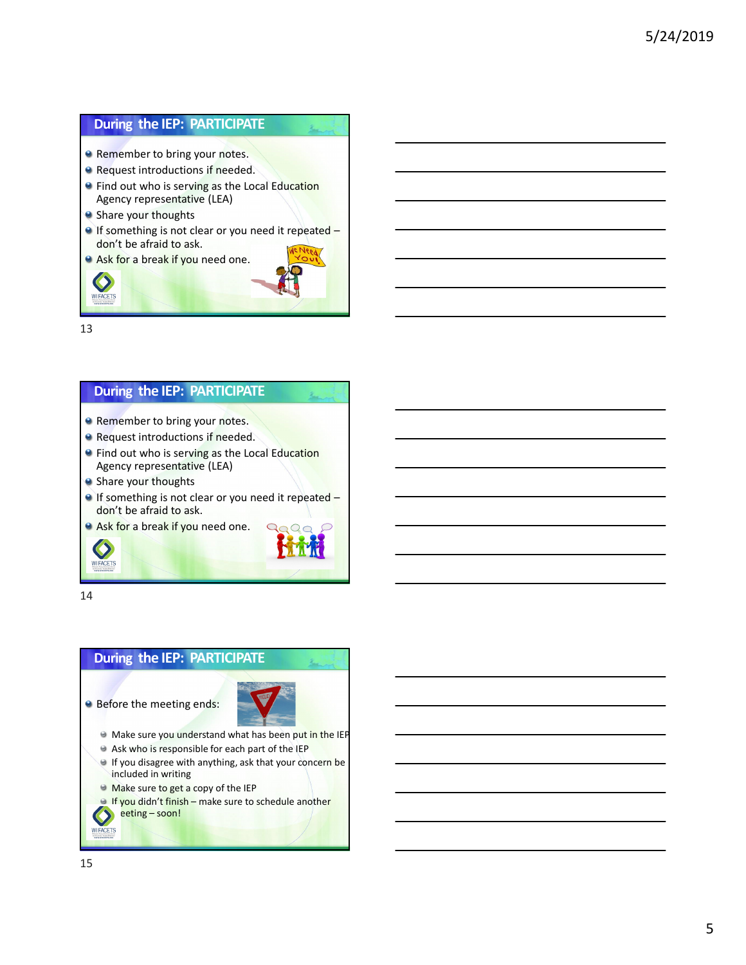## **During the IEP: PARTICIPATE**

- **Remember to bring your notes.**
- **Request introductions if needed.**
- **•** Find out who is serving as the Local Education Agency representative (LEA)
- <sup>9</sup> Share your thoughts
- If something is not clear or you need it repeated don't be afraid to ask.
- **Ask for a break if you need one.**



13

 $\bullet$ **WIFACETS** 

### **During the IEP: PARTICIPATE**

- **Remember to bring your notes.**
- **Request introductions if needed.**
- **•** Find out who is serving as the Local Education Agency representative (LEA)
- Share your thoughts
- If something is not clear or you need it repeated don't be afraid to ask.
- Ask for a break if you need one.



14

 $\bullet$ **WIFACETS** 

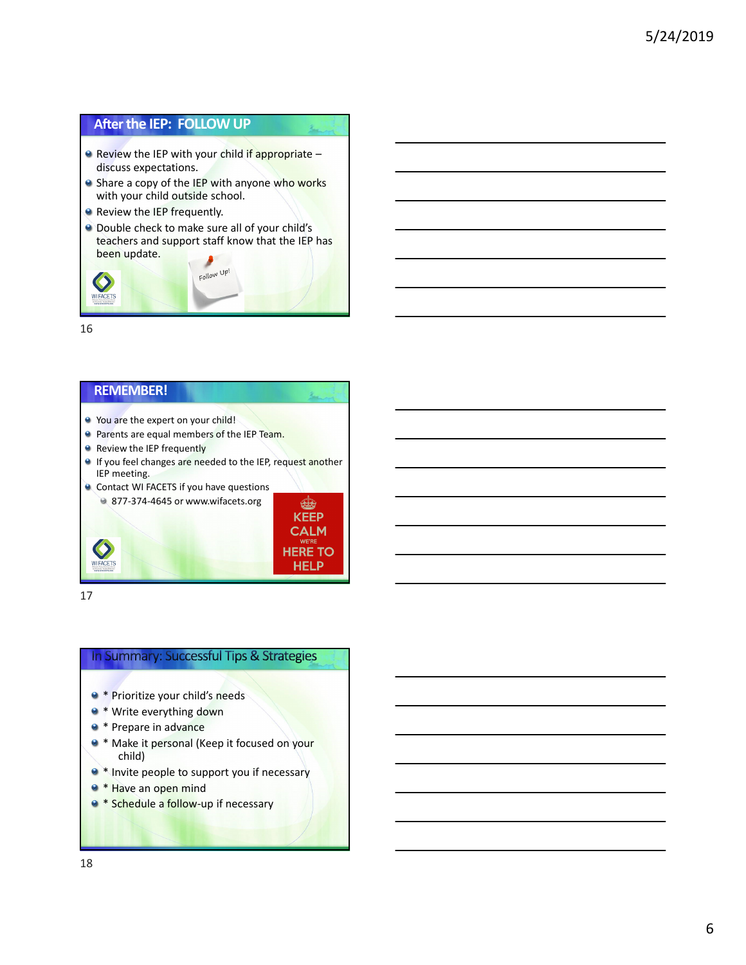### **Afterthe IEP: FOLLOW UP**

- $\bullet$  Review the IEP with your child if appropriate discuss expectations.
- Share a copy of the IEP with anyone who works with your child outside school.
- **Review the IEP frequently.**
- Double check to make sure all of your child's teachers and support staff know that the IEP has been update.



16

#### **REMEMBER!**

- You are the expert on your child! **Parents are equal members of the IEP Team.**
- Review the IEP frequently
- If you feel changes are needed to the IEP, request another IEP meeting.



17

### In Summary: Successful Tips & Strategies

- \* Prioritize your child's needs
- \* Write everything down
- \* Prepare in advance
- 9 \* Make it personal (Keep it focused on your child)
- $\bullet$  \* Invite people to support you if necessary
- **a** \* Have an open mind
- <sup>●</sup> \* Schedule a follow-up if necessary